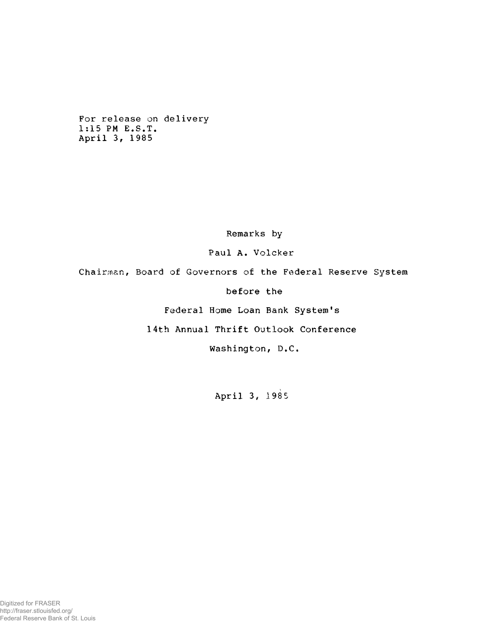For release on delivery 1:15 PM E.S.T. April 3, 1985

Remarks by

Paul A. Volcker

Chairman, Board of Governors of the Federal Reserve System

before the

Federal Home Loan Bank System's

14th Annual Thrift Outlook Conference

Washington, D,C.

April 3, 1985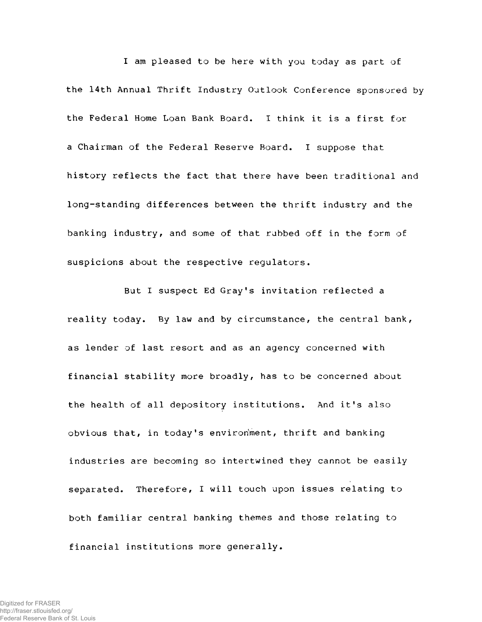I am pleased to be here with you today as part of the 14th Annual Thrift Industry Outlook Conference sponsored by the Federal Home Loan Bank Board. I think it is a first for a Chairman of the Federal Reserve Board. I suppose that history reflects the fact that there have been traditional and long-standing differences between the thrift industry and the banking industry, and some of that rubbed off in the form of suspicions about the respective regulators.

But I suspect Ed Gray's invitation reflected a reality today. By law and by circumstance, the central bank, as lender of last resort and as an agency concerned with financial stability more broadly, has to be concerned about the health of all depository institutions. And it's also obvious that, in today's environment, thrift and banking industries are becoming so intertwined they cannot be easily separated. Therefore, I will touch upon issues relating to both familiar central banking themes and those relating to financial institutions more generally.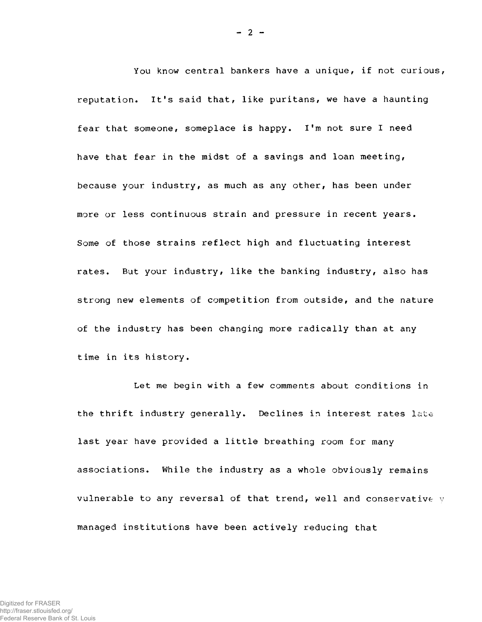You know central bankers have a unique, if not curious, reputation. It's said that, like puritans, we have a haunting fear that someone, someplace is happy. I'm not sure I need have that fear in the midst of a savings and loan meeting, because your industry, as much as any other, has been under more or less continuous strain and pressure in recent years. Some of those strains reflect high and fluctuating interest rates. But your industry, like the banking industry, also has strong new elements of competition from outside, and the nature of the industry has been changing more radically than at any time in its history.

Let me begin with a few comments about conditions in the thrift industry generally. Declines in interest rates late last year have provided a little breathing room for many associations. While the industry as a whole obviously remains vulnerable to any reversal of that trend, well and conservative y managed institutions have been actively reducing that

 $- 2 -$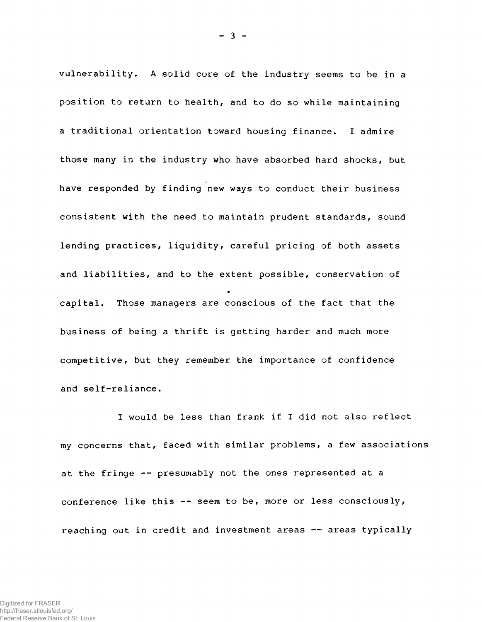vulnerability. A solid core of the industry seems to be in a position to return to health, and to do so while maintaining a traditional orientation toward housing finance. I admire those many in the industry who have absorbed hard shocks, but have responded by finding new ways to conduct their business consistent with the need to maintain prudent standards, sound lending practices, liquidity, careful pricing of both assets and liabilities, and to the extent possible, conservation of capital. Those managers are conscious of the fact that the business of being a thrift is getting harder and much more competitive, but they remember the importance of confidence and self-reliance.

I would be less than frank if I did not also reflect my concerns that, faced with similar problems, a few associations at the fringe — presumably not the ones represented at a conference like this  $--$  seem to be, more or less consciously, reaching out in credit and investment areas -- areas typically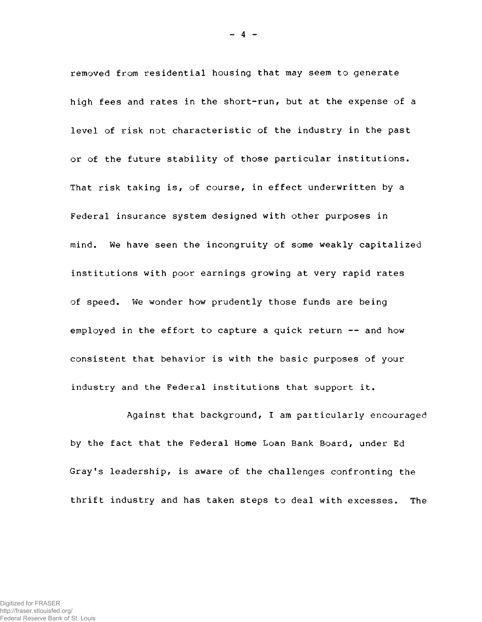removed from residential housing that may seem to generate high fees and rates in the short-run, but at the expense of a level of risk not characteristic of the industry in the past or of the future stability of those particular institutions. That risk taking is, of course, in effect underwritten by a Federal insurance system designed with other purposes in mind. We have seen the incongruity of some weakly capitalized institutions with poor earnings growing at very rapid rates of speed. We wonder how prudently those funds are being employed in the effort to capture a quick return -- and how consistent that behavior is with the basic purposes of your industry and the Federal institutions that support it.

 $- 4 -$ 

Against that background, I am particularly encouraged by the fact that the Federal Home Loan Bank Board, under Ed Gray's leadership, is aware of the challenges confronting the thrift industry and has taken steps to deal with excesses. The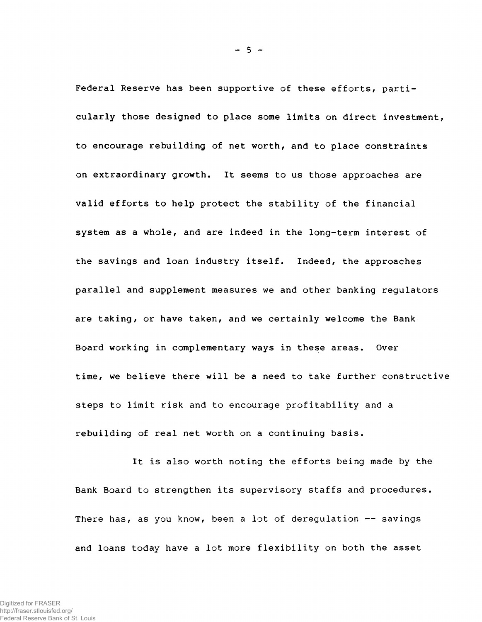Federal Reserve has been supportive of these efforts, particularly those designed to place some limits on direct investment, to encourage rebuilding of net worth, and to place constraints on extraordinary growth. It seems to us those approaches are valid efforts to help protect the stability of the financial system as a whole, and are indeed in the long-term interest of the savings and loan industry itself. Indeed, the approaches parallel and supplement measures we and other banking regulators are taking, or have taken, and we certainly welcome the Bank Board working in complementary ways in these areas. Over time, we believe there will be a need to take further constructive steps to limit risk and to encourage profitability and a rebuilding of real net worth on a continuing basis.

It is also worth noting the efforts being made by the Bank Board to strengthen its supervisory staffs and procedures. There has, as you know, been a lot of deregulation -- savings and loans today have a lot more flexibility on both the asset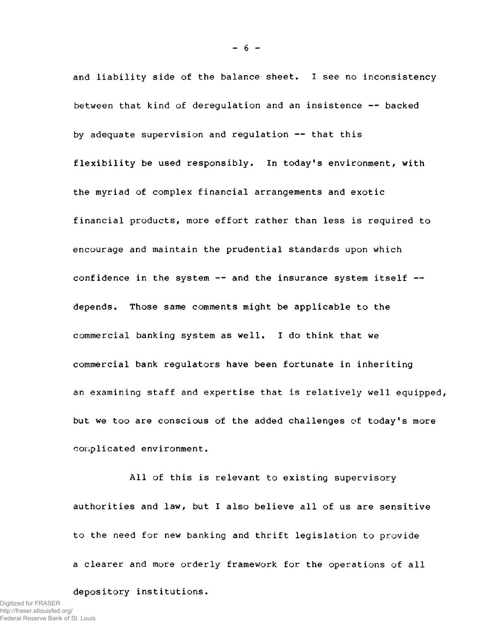and liability side of the balance sheet. I see no inconsistency between that kind of deregulation and an insistence — backed by adequate supervision and regulation — that this flexibility be used responsibly. In today's environment, with the myriad of complex financial arrangements and exotic financial products, more effort rather than less is required to encourage and maintain the prudential standards upon which confidence in the system  $--$  and the insurance system itself  $-$ depends. Those same comments might be applicable to the commercial banking system as well. I do think that we commercial bank regulators have been fortunate in inheriting an examining staff and expertise that is relatively well equipped, but we too are conscious of the added challenges of today's more complicated environment.

All of this is relevant to existing supervisory authorities and law, but I also believe all of us are sensitive to the need for new banking and thrift legislation to provide a clearer and more orderly framework for the operations of all

depository institutions.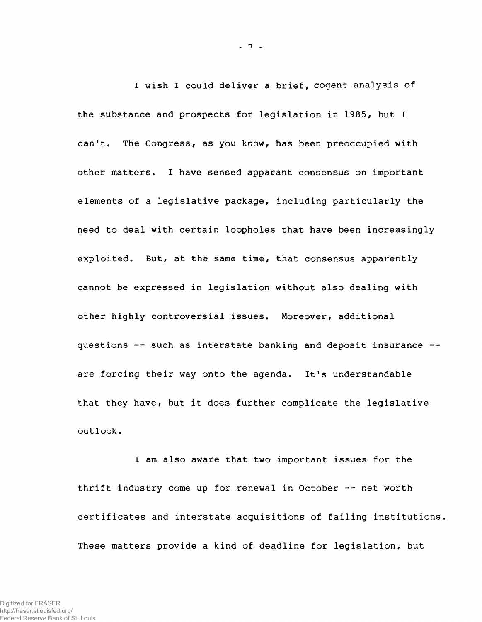I wish I could deliver a brief, cogent analysis of the substance and prospects for legislation in 1985, but I can't. The Congress, as you know, has been preoccupied with other matters. I have sensed apparant consensus on important elements of a legislative package, including particularly the need to deal with certain loopholes that have been increasingly exploited. But, at the same time, that consensus apparently cannot be expressed in legislation without also dealing with other highly controversial issues. Moreover, additional questions -- such as interstate banking and deposit insurance -are forcing their way onto the agenda. It's understandable that they have, but it does further complicate the legislative outlook,

I am also aware that two important issues for the thrift industry come up for renewal in October — net worth certificates and interstate acquisitions of failing institutions. These matters provide a kind of deadline for legislation, but

 $-7<sup>2</sup>$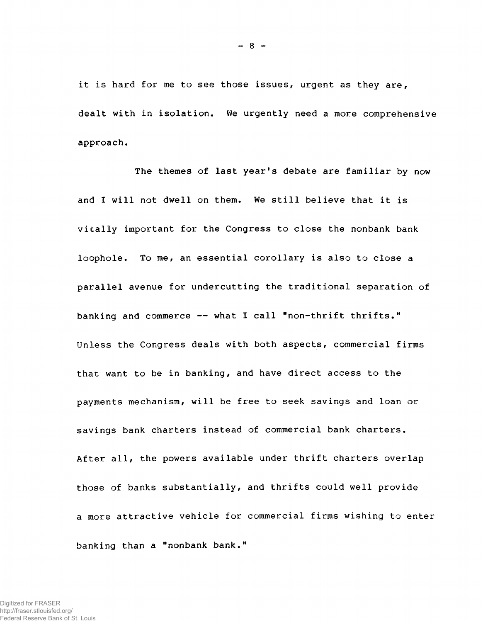it is hard for me to see those issues, urgent as they are, dealt with in isolation. We urgently need a more comprehensive approach.

The themes of last year's debate are familiar by now and I will not dwell on them. We still believe that it is vitally important for the Congress to close the nonbank bank loophole. To me, an essential corollary is also to close a parallel avenue for undercutting the traditional separation of banking and commerce  $--$  what I call "non-thrift thrifts." Unless the Congress deals with both aspects, commercial firms that want to be in banking, and have direct access to the payments mechanism, will be free to seek savings and loan or savings bank charters instead of commercial bank charters. After all, the powers available under thrift charters overlap those of banks substantially, and thrifts could well provide a more attractive vehicle for commercial firms wishing to enter banking than a "nonbank bank."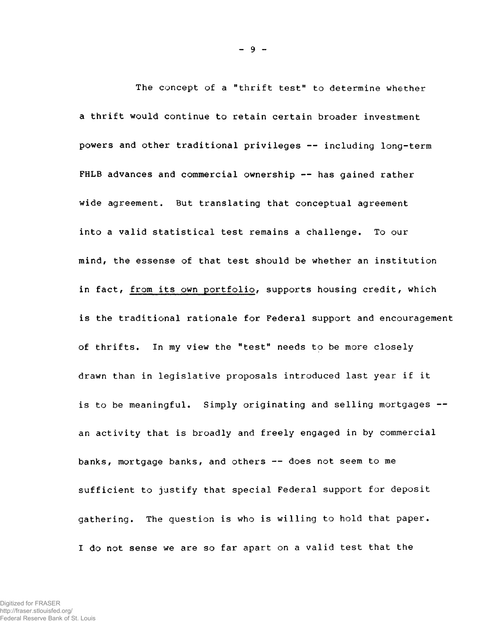The concept of a "thrift test" to determine whether a thrift would continue to retain certain broader investment powers and other traditional privileges — including long-term FHLB advances and commercial ownership -- has gained rather wide agreement. But translating that conceptual agreement into a valid statistical test remains a challenge. To our mind, the essense of that test should be whether an institution in fact, from its own portfolio, supports housing credit, which is the traditional rationale for Federal support and encouragement of thrifts. In my view the "test" needs to be more closely drawn than in legislative proposals introduced last year if it is to be meaningful. Simply originating and selling mortgages -an activity that is broadly and freely engaged in by commercial banks, mortgage banks, and others — does not seem to me sufficient to justify that special Federal support for deposit gathering. The question is who is willing to hold that paper. I do not sense we are so far apart on a valid test that the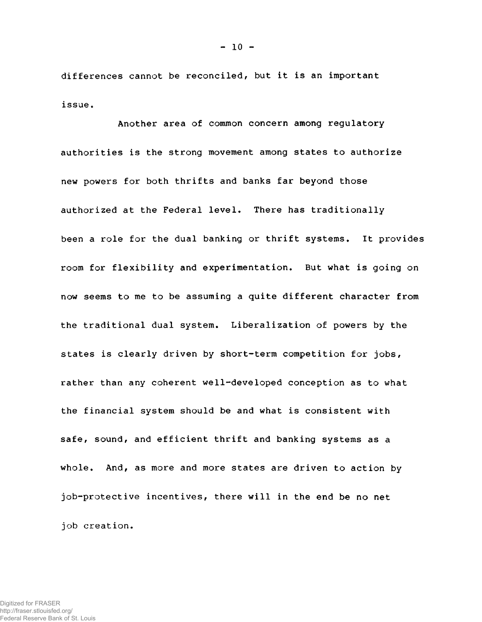differences cannot be reconciled, but it is an important issue.

Another area of common concern among regulatory authorities is the strong movement among states to authorize new powers for both thrifts and banks far beyond those authorized at the Federal level. There has traditionally been a role for the dual banking or thrift systems. It provides room for flexibility and experimentation. But what is going on now seems to me to be assuming a quite different character from the traditional dual system. Liberalization of powers by the the traditional dual system. Liberalization of powers by the states is clearly driven by short-term competition for jobs, states is clearly driven by short-term competition for jobs, rather than any coherent well-developed conception as to what the financial system should be and what is consistent with safe, sound, and efficient thrift and banking systems as a whole. And, as more and more states are driven to action by job-protective incentives, there will in the end be no net job creation.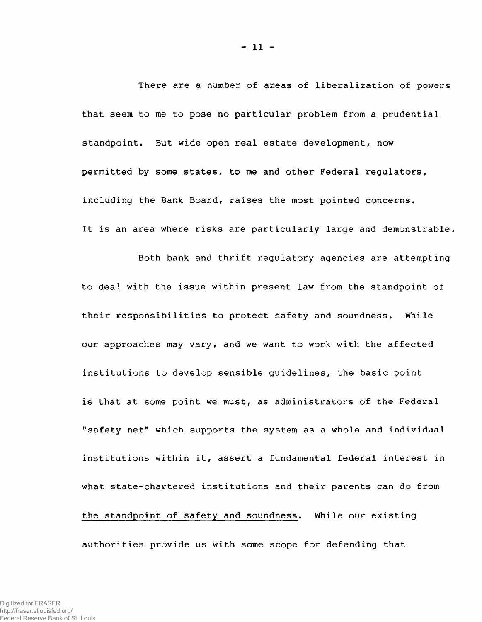There are a number of areas of liberalization of powers that seem to me to pose no particular problem from a prudential standpoint. But wide open real estate development, now permitted by some states, to me and other Federal regulators, including the Bank Board, raises the most pointed concerns. It is an area where risks are particularly large and demonstrable,

Both bank and thrift regulatory agencies are attempting to deal with the issue within present law from the standpoint of their responsibilities to protect safety and soundness. While our approaches may vary, and we want to work with the affected institutions to develop sensible guidelines, the basic point is that at some point we must, as administrators of the Federal "safety net" which supports the system as a whole and individual institutions within it, assert a fundamental federal interest in what state-chartered institutions and their parents can do from the standpoint of safety and soundness. While our existing authorities provide us with some scope for defending that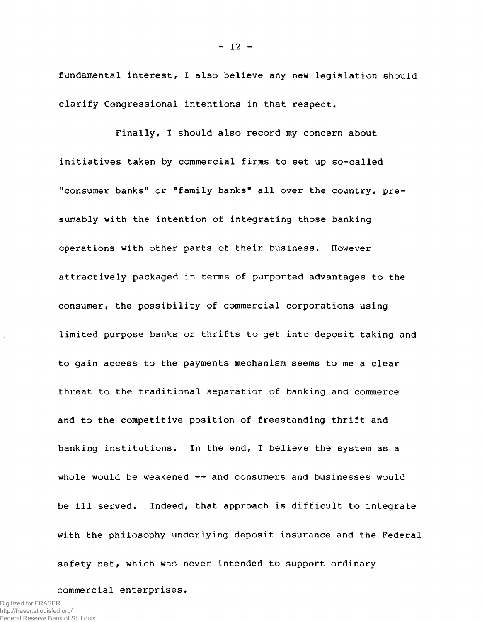fundamental interest, I also believe any new legislation should clarify Congressional intentions in that respect.

Finally, I should also record my concern about initiatives taken by commercial firms to set up so-called "consumer banks" or "family banks" all over the country, presumably with the intention of integrating those banking operations with other parts of their business. However attractively packaged in terms of purported advantages to the consumer, the possibility of commercial corporations using limited purpose banks or thrifts to get into deposit taking and to gain access to the payments mechanism seems to me a clear threat to the traditional separation of banking and commerce and to the competitive position of freestanding thrift and banking institutions. In the end, I believe the system as a whole would be weakened  $-$  and consumers and businesses would be ill served. Indeed, that approach is difficult to integrate with the philosophy underlying deposit insurance and the Federal safety net, which was never intended to support ordinary

commercial enterprises.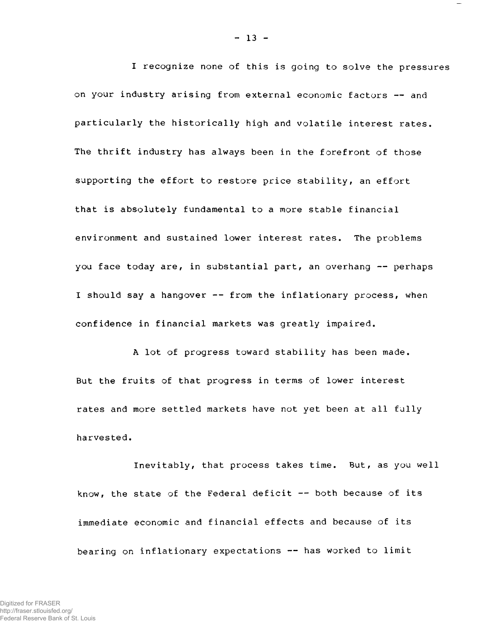I recognize none of this is going to solve the pressures on your industry arising from external economic factors — and particularly the historically high and volatile interest rates. The thrift industry has always been in the forefront of those supporting the effort to restore price stability, an effort that is absolutely fundamental to a more stable financial environment and sustained lower interest rates. The problems you face today are, in substantial part, an overhang  $-$  perhaps I should say a hangover -- from the inflationary process, when confidence in financial markets was greatly impaired.

A lot of progress toward stability has been made. But the fruits of that progress in terms of lower interest rates and more settled markets have not yet been at all fully harvested.

Inevitably, that process takes time. But, as you well know, the state of the Federal deficit — both because of its immediate economic and financial effects and because of its bearing on inflationary expectations — has worked to limit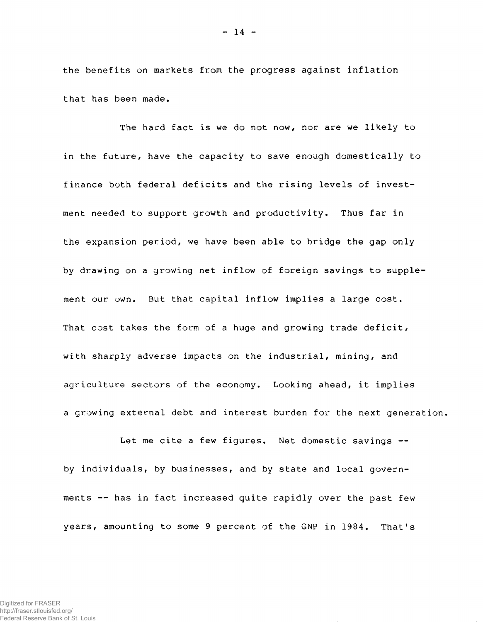the benefits on markets from the progress against inflation that has been made.

The hard fact is we do not now, nor are we likely to in the future, have the capacity to save enough domestically to finance both federal deficits and the rising levels of investment needed to support growth and productivity. Thus far in the expansion period, we have been able to bridge the gap only by drawing on a growing net inflow of foreign savings to supplement our own. But that capital inflow implies a large cost. That cost takes the form of a huge and growing trade deficit, with sharply adverse impacts on the industrial, mining, and agriculture sectors of the economy. Looking ahead, it implies a growing external debt and interest burden for the next generation,

Let me cite a few figures. Net domestic savings -by individuals, by businesses, and by state and local governments — has in fact increased quite rapidly over the past few years, amounting to some 9 percent of the GNP in 1984. That's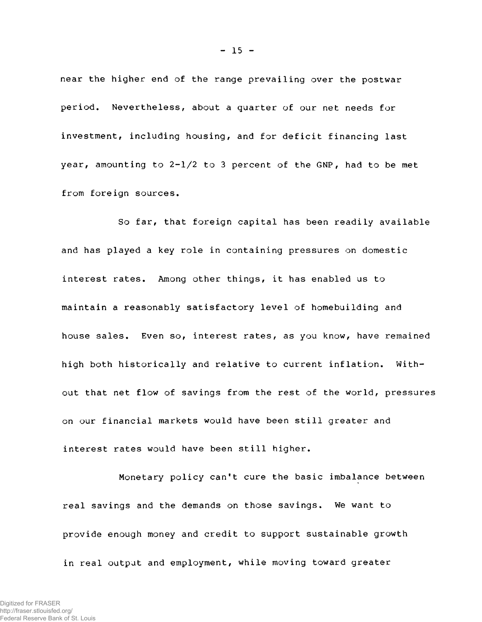near the higher end of the range prevailing over the postwar period. Nevertheless, about a quarter of our net needs for investment, including housing, and for deficit financing last year, amounting to  $2-1/2$  to 3 percent of the GNP, had to be met from foreign sources.

So far, that foreign capital has been readily available and has played a key role in containing pressures on domestic interest rates. Among other things, it has enabled us to maintain a reasonably satisfactory level of homebuilding and house sales. Even so, interest rates, as you know, have remained high both historically and relative to current inflation. Without that net flow of savings from the rest of the world, pressures on our financial markets would have been still greater and interest rates would have been still higher.

Monetary policy can't cure the basic imbalance between real savings and the demands on those savings. We want to provide enough money and credit to support sustainable growth in real output and employment, while moving toward greater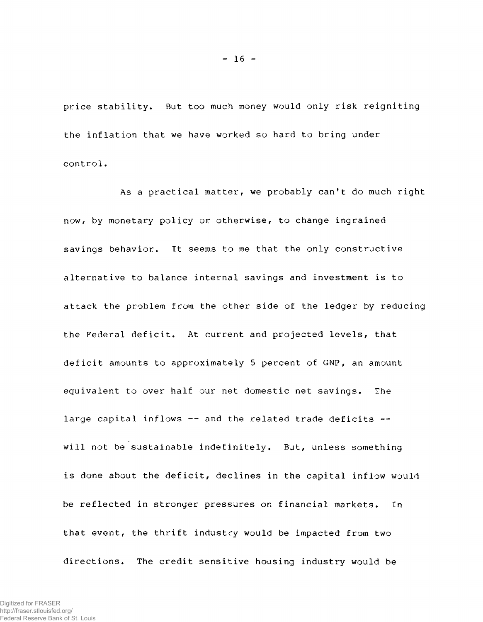price stability. But too much money would only risk reigniting the inflation that we have worked so hard to bring under control.

As a practical matter, we probably can't do much right now, by monetary policy or otherwise, to change ingrained savings behavior. It seems to me that the only constructive alternative to balance internal savings and investment is to attack the problem from the other side of the ledger by reducing the Federal deficit. At current and projected levels, that deficit amounts to approximately 5 percent of GNP, an amount equivalent to over half our net domestic net savings. The large capital inflows -- and the related trade deficits -will not be sustainable indefinitely. But, unless something is done about the deficit, declines in the capital inflow would be reflected in stronger pressures on financial markets. In that event, the thrift industry would be impacted from two directions. The credit sensitive housing industry would be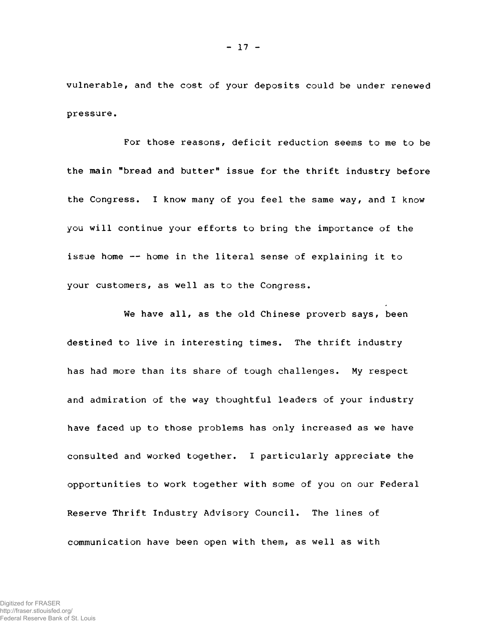vulnerable, and the cost of your deposits could be under renewed pressure.

For those reasons, deficit reduction seems to me to be the main "bread and butter" issue for the thrift industry before the Congress. I know many of you feel the same way, and I know you will continue your efforts to bring the importance of the issue home — home in the literal sense of explaining it to your customers, as well as to the Congress.

We have all, as the old Chinese proverb says, been destined to live in interesting times. The thrift industry has had more than its share of tough challenges. My respect and admiration of the way thoughtful leaders of your industry have faced up to those problems has only increased as we have consulted and worked together. I particularly appreciate the opportunities to work together with some of you on our Federal Reserve Thrift Industry Advisory Council. The lines of communication have been open with them, as well as with